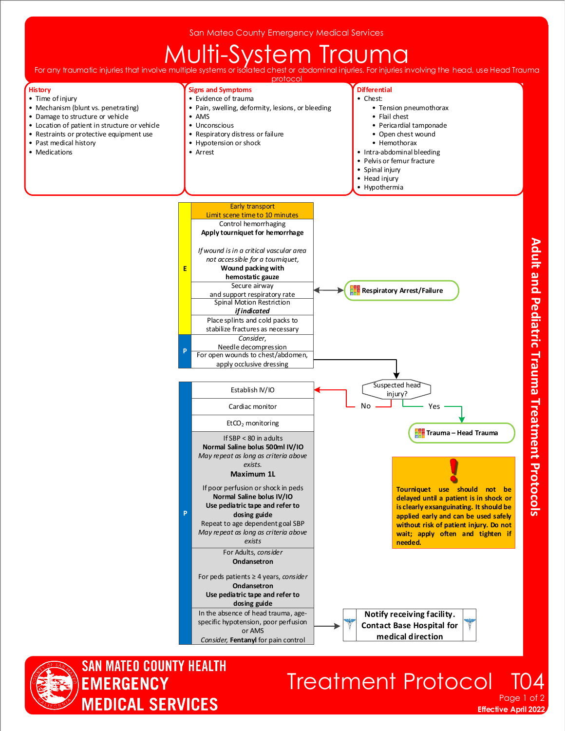San Mateo County Emergency Medical Services

## For any traumatic injuries that involve multiple systems or isolated chest or abdominal injuries. For injuries i

For injuries involving the head, use Head Traumal protocol

> **Differential** • Chest:

**Signs and Symptoms** • Evidence of trauma



- Time of injury
- Mechanism (blunt vs. penetrating) • Damage to structure or vehicle
- Location of patient in structure or vehicle
- Restraints or protective equipment use
- Past medical history
- Medications





## **Treatment Protocol**

**Effective April 2022** Page 1 of